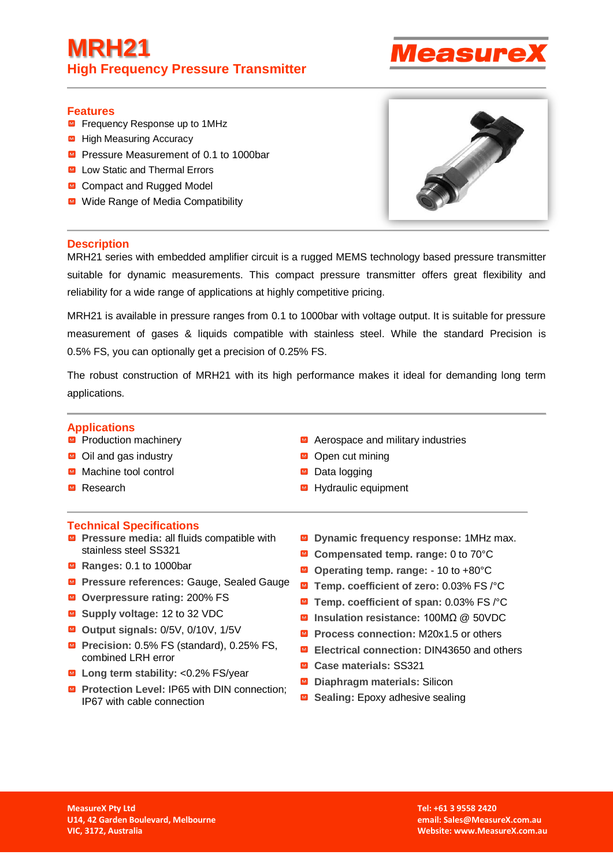# **MRH21 High Frequency Pressure Transmitter**



### **Features**

- **■** Frequency Response up to 1MHz
- High Measuring Accuracy
- Pressure Measurement of 0.1 to 1000bar
- Low Static and Thermal Errors
- Compact and Rugged Model
- Wide Range of Media Compatibility



### **Description**

MRH21 series with embedded amplifier circuit is a rugged MEMS technology based pressure transmitter suitable for dynamic measurements. This compact pressure transmitter offers great flexibility and reliability for a wide range of applications at highly competitive pricing.

MRH21 is available in pressure ranges from 0.1 to 1000bar with voltage output. It is suitable for pressure measurement of gases & liquids compatible with stainless steel. While the standard Precision is 0.5% FS, you can optionally get a precision of 0.25% FS.

The robust construction of MRH21 with its high performance makes it ideal for demanding long term applications.

## **Applications**

- Production machinery
- $\blacksquare$  Oil and gas industry
- Machine tool control
- Research

#### **Technical Specifications**

- **Pressure media: all fluids compatible with** stainless steel SS321
- Ranges: 0.1 to 1000bar
- **Pressure references: Gauge, Sealed Gauge**
- **Overpressure rating:** 200% FS
- **Supply voltage:** 12 to 32 VDC
- **Output signals:** 0/5V, 0/10V, 1/5V
- **Precision:** 0.5% FS (standard), 0.25% FS, combined LRH error
- Long term stability: <0.2% FS/year
- **Protection Level: IP65 with DIN connection;** IP67 with cable connection
- Aerospace and military industries
- Open cut mining
- Data logging
- Hydraulic equipment
- **Dynamic frequency response:** 1MHz max.  $\overline{\mathbf{M}}$
- **Compensated temp. range:** 0 to 70°C
- **Operating temp. range:** 10 to +80°C
- **Temp. coefficient of zero:** 0.03% FS /°C
- **Temp. coefficient of span:** 0.03% FS /°C
- **Insulation resistance:** 100MΩ @ 50VDC
- **Process connection: M20x1.5 or others**
- **Electrical connection:** DIN43650 and others
- **Case materials:** SS321
- **Diaphragm materials: Silicon**
- Sealing: Epoxy adhesive sealing